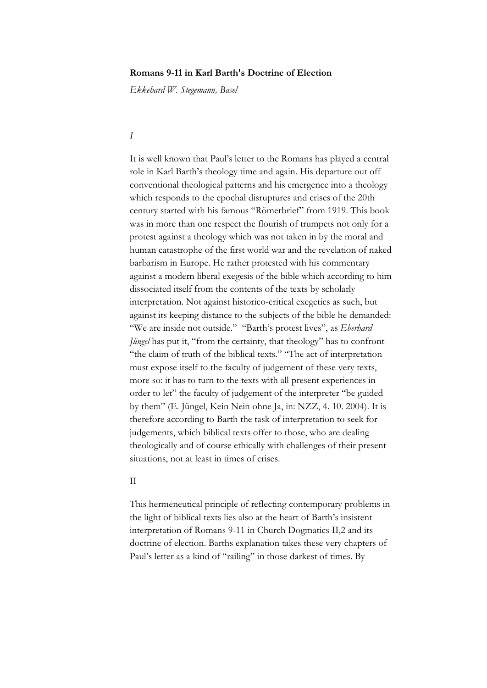# **Romans 9-11 in Karl Barth's Doctrine of Election**

*Ekkehard W. Stegemann, Basel*

# *I*

It is well known that Paul's letter to the Romans has played a central role in Karl Barth's theology time and again. His departure out off conventional theological patterns and his emergence into a theology which responds to the epochal disruptures and crises of the 20th century started with his famous "Römerbrief" from 1919. This book was in more than one respect the flourish of trumpets not only for a protest against a theology which was not taken in by the moral and human catastrophe of the first world war and the revelation of naked barbarism in Europe. He rather protested with his commentary against a modern liberal exegesis of the bible which according to him dissociated itself from the contents of the texts by scholarly interpretation. Not against historico-critical exegetics as such, but against its keeping distance to the subjects of the bible he demanded: "We are inside not outside." "Barth's protest lives", as *Eberhard Jüngel* has put it, "from the certainty, that theology" has to confront "the claim of truth of the biblical texts." "The act of interpretation must expose itself to the faculty of judgement of these very texts, more so: it has to turn to the texts with all present experiences in order to let" the faculty of judgement of the interpreter "be guided by them" (E. Jüngel, Kein Nein ohne Ja, in: NZZ, 4. 10. 2004). It is therefore according to Barth the task of interpretation to seek for judgements, which biblical texts offer to those, who are dealing theologically and of course ethically with challenges of their present situations, not at least in times of crises.

### II

This hermeneutical principle of reflecting contemporary problems in the light of biblical texts lies also at the heart of Barth's insistent interpretation of Romans 9-11 in Church Dogmatics II,2 and its doctrine of election. Barths explanation takes these very chapters of Paul's letter as a kind of "railing" in those darkest of times. By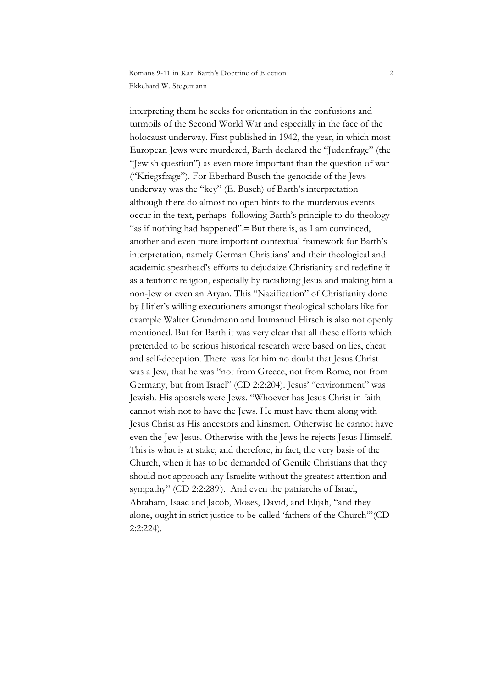interpreting them he seeks for orientation in the confusions and turmoils of the Second World War and especially in the face of the holocaust underway. First published in 1942, the year, in which most European Jews were murdered, Barth declared the "Judenfrage" (the "Jewish question") as even more important than the question of war ("Kriegsfrage"). For Eberhard Busch the genocide of the Jews underway was the "key" (E. Busch) of Barth's interpretation although there do almost no open hints to the murderous events occur in the text, perhaps following Barth's principle to do theology "as if nothing had happened".– But there is, as I am convinced, another and even more important contextual framework for Barth's interpretation, namely German Christians' and their theological and academic spearhead's efforts to dejudaize Christianity and redefine it as a teutonic religion, especially by racializing Jesus and making him a non-Jew or even an Aryan. This "Nazification" of Christianity done by Hitler's willing executioners amongst theological scholars like for example Walter Grundmann and Immanuel Hirsch is also not openly mentioned. But for Barth it was very clear that all these efforts which pretended to be serious historical research were based on lies, cheat and self-deception. There was for him no doubt that Jesus Christ was a Jew, that he was "not from Greece, not from Rome, not from Germany, but from Israel" (CD 2:2:204). Jesus' "environment" was Jewish. His apostels were Jews. "Whoever has Jesus Christ in faith cannot wish not to have the Jews. He must have them along with Jesus Christ as His ancestors and kinsmen. Otherwise he cannot have even the Jew Jesus. Otherwise with the Jews he rejects Jesus Himself. This is what is at stake, and therefore, in fact, the very basis of the Church, when it has to be demanded of Gentile Christians that they should not approach any Israelite without the greatest attention and sympathy" (CD 2:2:289<sup>b</sup>). And even the patriarchs of Israel, Abraham, Isaac and Jacob, Moses, David, and Elijah, "and they alone, ought in strict justice to be called 'fathers of the Church'"(CD 2:2:224).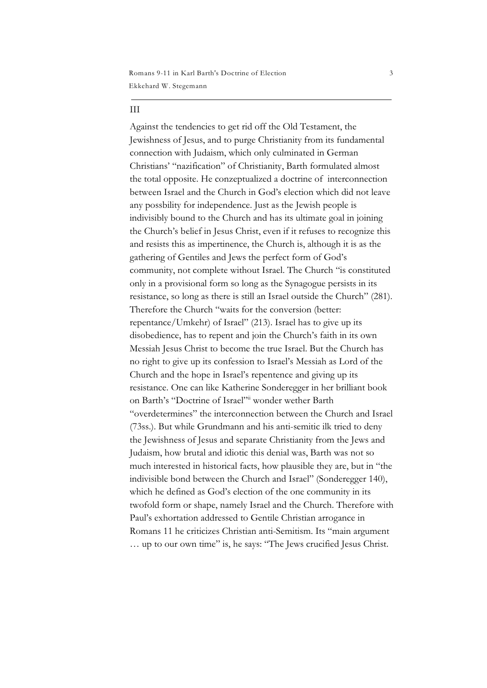Ekkehard W. Stegemann Romans 9-11 in Karl Barth's Doctrine of Election 3

#### III

Against the tendencies to get rid off the Old Testament, the Jewishness of Jesus, and to purge Christianity from its fundamental connection with Judaism, which only culminated in German Christians' "nazification" of Christianity, Barth formulated almost the total opposite. He conzeptualized a doctrine of interconnection between Israel and the Church in God's election which did not leave any possbility for independence. Just as the Jewish people is indivisibly bound to the Church and has its ultimate goal in joining the Church's belief in Jesus Christ, even if it refuses to recognize this and resists this as impertinence, the Church is, although it is as the gathering of Gentiles and Jews the perfect form of God's community, not complete without Israel. The Church "is constituted only in a provisional form so long as the Synagogue persists in its resistance, so long as there is still an Israel outside the Church" (281). Therefore the Church "waits for the conversion (better: repentance/Umkehr) of Israel" (213). Israel has to give up its disobedience, has to repent and join the Church's faith in its own Messiah Jesus Christ to become the true Israel. But the Church has no right to give up its confession to Israel's Messiah as Lord of the Church and the hope in Israel's repentence and giving up its resistance. One can like Katherine Sonderegger in her brilliant book on Barth's "Doctrine of Israel" wonder wether Barth "overdetermines" the interconnection between the Church and Israel (73ss.). But while Grundmann and his anti-semitic ilk tried to deny the Jewishness of Jesus and separate Christianity from the Jews and Judaism, how brutal and idiotic this denial was, Barth was not so much interested in historical facts, how plausible they are, but in "the indivisible bond between the Church and Israel" (Sonderegger 140), which he defined as God's election of the one community in its twofold form or shape, namely Israel and the Church. Therefore with Paul's exhortation addressed to Gentile Christian arrogance in Romans 11 he criticizes Christian anti-Semitism. Its "main argument … up to our own time" is, he says: "The Jews crucified Jesus Christ.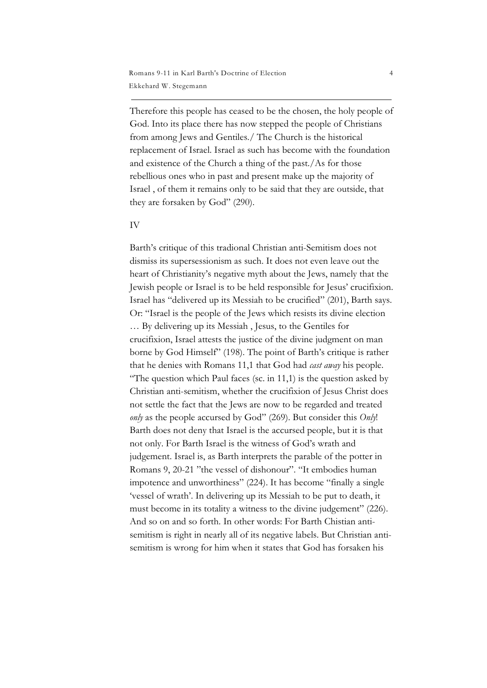Therefore this people has ceased to be the chosen, the holy people of God. Into its place there has now stepped the people of Christians from among Jews and Gentiles./ The Church is the historical replacement of Israel. Israel as such has become with the foundation and existence of the Church a thing of the past./As for those rebellious ones who in past and present make up the majority of Israel , of them it remains only to be said that they are outside, that they are forsaken by God" (290).

#### IV

Barth's critique of this tradional Christian anti-Semitism does not dismiss its supersessionism as such. It does not even leave out the heart of Christianity's negative myth about the Jews, namely that the Jewish people or Israel is to be held responsible for Jesus' crucifixion. Israel has "delivered up its Messiah to be crucified" (201), Barth says. Or: "Israel is the people of the Jews which resists its divine election … By delivering up its Messiah , Jesus, to the Gentiles for crucifixion, Israel attests the justice of the divine judgment on man borne by God Himself" (198). The point of Barth's critique is rather that he denies with Romans 11,1 that God had *cast away* his people. "The question which Paul faces (sc. in  $11,1$ ) is the question asked by Christian anti-semitism, whether the crucifixion of Jesus Christ does not settle the fact that the Jews are now to be regarded and treated *only* as the people accursed by God" (269). But consider this *Only*! Barth does not deny that Israel is the accursed people, but it is that not only. For Barth Israel is the witness of God's wrath and judgement. Israel is, as Barth interprets the parable of the potter in Romans 9, 20-21 "the vessel of dishonour". "It embodies human impotence and unworthiness" (224). It has become "finally a single 'vessel of wrath'. In delivering up its Messiah to be put to death, it must become in its totality a witness to the divine judgement" (226). And so on and so forth. In other words: For Barth Chistian antisemitism is right in nearly all of its negative labels. But Christian antisemitism is wrong for him when it states that God has forsaken his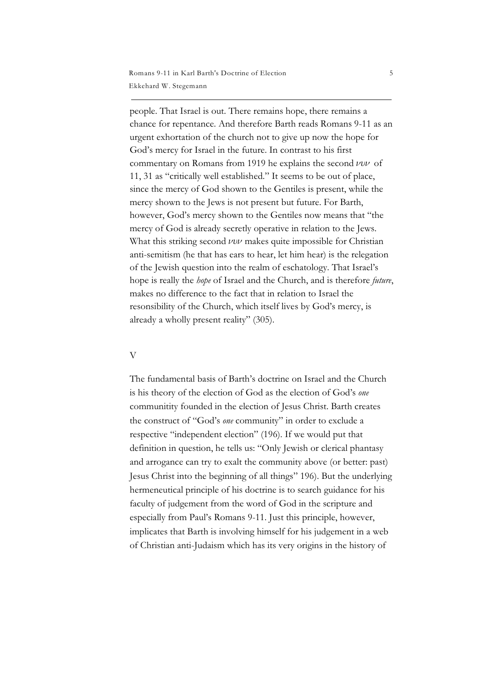people. That Israel is out. There remains hope, there remains a chance for repentance. And therefore Barth reads Romans 9-11 as an urgent exhortation of the church not to give up now the hope for God's mercy for Israel in the future. In contrast to his first commentary on Romans from 1919 he explains the second  $\nu \nu \nu$  of 11, 31 as "critically well established." It seems to be out of place, since the mercy of God shown to the Gentiles is present, while the mercy shown to the Jews is not present but future. For Barth, however, God's mercy shown to the Gentiles now means that "the mercy of God is already secretly operative in relation to the Jews. What this striking second  $\nu \nu \nu$  makes quite impossible for Christian anti-semitism (he that has ears to hear, let him hear) is the relegation of the Jewish question into the realm of eschatology. That Israel's hope is really the *hope* of Israel and the Church, and is therefore *future*, makes no difference to the fact that in relation to Israel the resonsibility of the Church, which itself lives by God's mercy, is already a wholly present reality" (305).

### V

The fundamental basis of Barth's doctrine on Israel and the Church is his theory of the election of God as the election of God's *one* communitity founded in the election of Jesus Christ. Barth creates the construct of "God's *one* community" in order to exclude a respective "independent election" (196). If we would put that definition in question, he tells us: "Only Jewish or clerical phantasy and arrogance can try to exalt the community above (or better: past) Jesus Christ into the beginning of all things" 196). But the underlying hermeneutical principle of his doctrine is to search guidance for his faculty of judgement from the word of God in the scripture and especially from Paul's Romans 9-11. Just this principle, however, implicates that Barth is involving himself for his judgement in a web of Christian anti-Judaism which has its very origins in the history of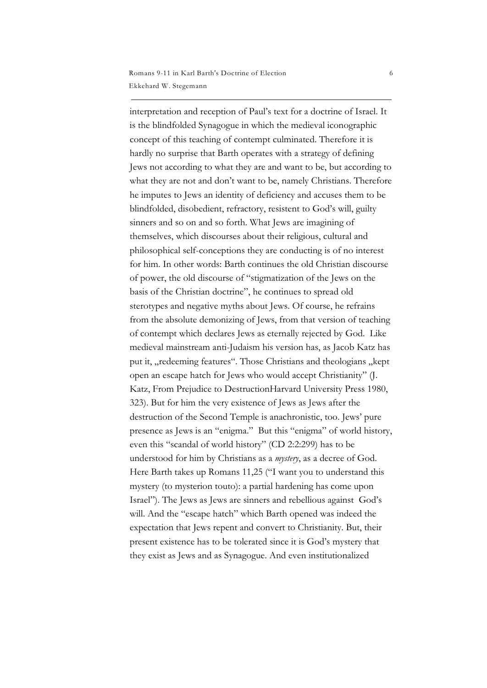interpretation and reception of Paul's text for a doctrine of Israel. It is the blindfolded Synagogue in which the medieval iconographic concept of this teaching of contempt culminated. Therefore it is hardly no surprise that Barth operates with a strategy of defining Jews not according to what they are and want to be, but according to what they are not and don't want to be, namely Christians. Therefore he imputes to Jews an identity of deficiency and accuses them to be blindfolded, disobedient, refractory, resistent to God's will, guilty sinners and so on and so forth. What Jews are imagining of themselves, which discourses about their religious, cultural and philosophical self-conceptions they are conducting is of no interest for him. In other words: Barth continues the old Christian discourse of power, the old discourse of "stigmatization of the Jews on the basis of the Christian doctrine", he continues to spread old sterotypes and negative myths about Jews. Of course, he refrains from the absolute demonizing of Jews, from that version of teaching of contempt which declares Jews as eternally rejected by God. Like medieval mainstream anti-Judaism his version has, as Jacob Katz has put it, "redeeming features". Those Christians and theologians "kept open an escape hatch for Jews who would accept Christianity" (J. Katz, From Prejudice to DestructionHarvard University Press 1980, 323). But for him the very existence of Jews as Jews after the destruction of the Second Temple is anachronistic, too. Jews' pure presence as Jews is an "enigma." But this "enigma" of world history, even this "scandal of world history" (CD 2:2:299) has to be understood for him by Christians as a *mystery*, as a decree of God. Here Barth takes up Romans 11,25 ("I want you to understand this mystery (to mysterion touto): a partial hardening has come upon Israel"). The Jews as Jews are sinners and rebellious against God's will. And the "escape hatch" which Barth opened was indeed the expectation that Jews repent and convert to Christianity. But, their present existence has to be tolerated since it is God's mystery that they exist as Jews and as Synagogue. And even institutionalized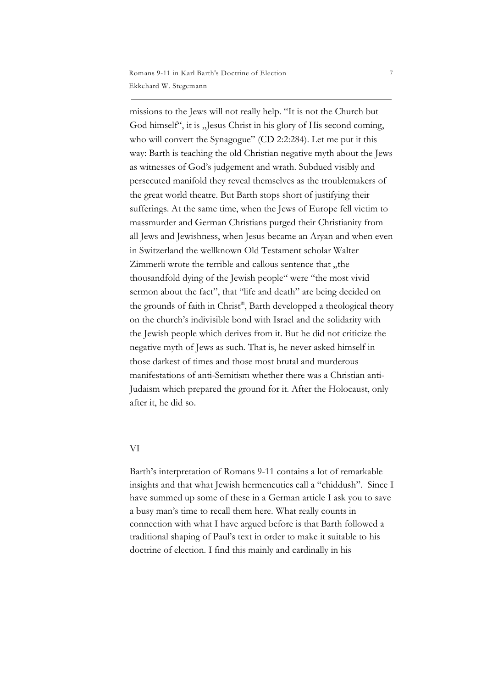missions to the Jews will not really help. "It is not the Church but God himself", it is "Jesus Christ in his glory of His second coming, who will convert the Synagogue" (CD 2:2:284). Let me put it this way: Barth is teaching the old Christian negative myth about the Jews as witnesses of God's judgement and wrath. Subdued visibly and persecuted manifold they reveal themselves as the troublemakers of the great world theatre. But Barth stops short of justifying their sufferings. At the same time, when the Jews of Europe fell victim to massmurder and German Christians purged their Christianity from all Jews and Jewishness, when Jesus became an Aryan and when even in Switzerland the wellknown Old Testament scholar Walter Zimmerli wrote the terrible and callous sentence that "the thousandfold dying of the Jewish people" were "the most vivid sermon about the fact", that "life and death" are being decided on the grounds of faith in Christ<sup>iii</sup>, Barth developped a theological theory on the church's indivisible bond with Israel and the solidarity with the Jewish people which derives from it. But he did not criticize the negative myth of Jews as such. That is, he never asked himself in those darkest of times and those most brutal and murderous manifestations of anti-Semitism whether there was a Christian anti-Judaism which prepared the ground for it. After the Holocaust, only after it, he did so.

### VI

Barth's interpretation of Romans 9-11 contains a lot of remarkable insights and that what Jewish hermeneutics call a "chiddush". Since I have summed up some of these in a German article I ask you to save a busy man's time to recall them here. What really counts in connection with what I have argued before is that Barth followed a traditional shaping of Paul's text in order to make it suitable to his doctrine of election. I find this mainly and cardinally in his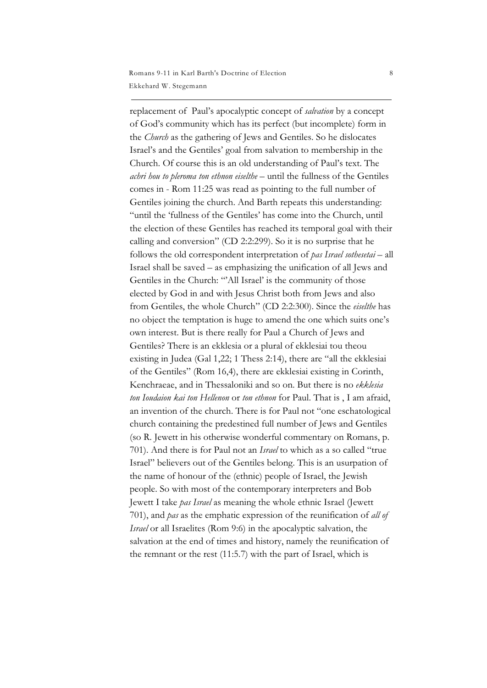replacement of Paul's apocalyptic concept of *salvation* by a concept of God's community which has its perfect (but incomplete) form in the *Church* as the gathering of Jews and Gentiles. So he dislocates Israel's and the Gentiles' goal from salvation to membership in the Church. Of course this is an old understanding of Paul's text. The *achri hou to pleroma ton ethnon eiselthe* – until the fullness of the Gentiles comes in - Rom 11:25 was read as pointing to the full number of Gentiles joining the church. And Barth repeats this understanding: "until the 'fullness of the Gentiles' has come into the Church, until the election of these Gentiles has reached its temporal goal with their calling and conversion" (CD 2:2:299). So it is no surprise that he follows the old correspondent interpretation of *pas Israel sothesetai* – all Israel shall be saved – as emphasizing the unification of all Jews and Gentiles in the Church: "'All Israel' is the community of those elected by God in and with Jesus Christ both from Jews and also from Gentiles, the whole Church" (CD 2:2:300). Since the *eiselthe* has no object the temptation is huge to amend the one which suits one's own interest. But is there really for Paul a Church of Jews and Gentiles? There is an ekklesia or a plural of ekklesiai tou theou existing in Judea (Gal 1,22; 1 Thess 2:14), there are "all the ekklesiai of the Gentiles" (Rom 16,4), there are ekklesiai existing in Corinth, Kenchraeae, and in Thessaloniki and so on. But there is no *ekklesia ton Ioudaion kai ton Hellenon* or *ton ethnon* for Paul. That is , I am afraid, an invention of the church. There is for Paul not "one eschatological church containing the predestined full number of Jews and Gentiles (so R. Jewett in his otherwise wonderful commentary on Romans, p. 701). And there is for Paul not an *Israel* to which as a so called "true Israel" believers out of the Gentiles belong. This is an usurpation of the name of honour of the (ethnic) people of Israel, the Jewish people. So with most of the contemporary interpreters and Bob Jewett I take *pas Israel* as meaning the whole ethnic Israel (Jewett 701), and *pas* as the emphatic expression of the reunification of *all of Israel* or all Israelites (Rom 9:6) in the apocalyptic salvation, the salvation at the end of times and history, namely the reunification of the remnant or the rest (11:5.7) with the part of Israel, which is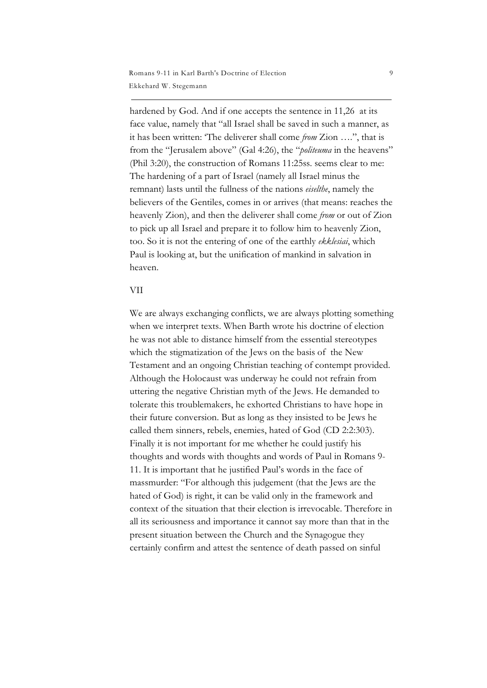hardened by God. And if one accepts the sentence in 11,26 at its face value, namely that "all Israel shall be saved in such a manner, as it has been written: 'The deliverer shall come *from* Zion ….", that is from the "Jerusalem above" (Gal 4:26), the "*politeuma* in the heavens" (Phil 3:20), the construction of Romans 11:25ss. seems clear to me: The hardening of a part of Israel (namely all Israel minus the remnant) lasts until the fullness of the nations *eiselthe*, namely the believers of the Gentiles, comes in or arrives (that means: reaches the heavenly Zion), and then the deliverer shall come *from* or out of Zion to pick up all Israel and prepare it to follow him to heavenly Zion, too. So it is not the entering of one of the earthly *ekklesiai*, which Paul is looking at, but the unification of mankind in salvation in heaven.

# VII

We are always exchanging conflicts, we are always plotting something when we interpret texts. When Barth wrote his doctrine of election he was not able to distance himself from the essential stereotypes which the stigmatization of the Jews on the basis of the New Testament and an ongoing Christian teaching of contempt provided. Although the Holocaust was underway he could not refrain from uttering the negative Christian myth of the Jews. He demanded to tolerate this troublemakers, he exhorted Christians to have hope in their future conversion. But as long as they insisted to be Jews he called them sinners, rebels, enemies, hated of God (CD 2:2:303). Finally it is not important for me whether he could justify his thoughts and words with thoughts and words of Paul in Romans 9- 11. It is important that he justified Paul's words in the face of massmurder: "For although this judgement (that the Jews are the hated of God) is right, it can be valid only in the framework and context of the situation that their election is irrevocable. Therefore in all its seriousness and importance it cannot say more than that in the present situation between the Church and the Synagogue they certainly confirm and attest the sentence of death passed on sinful